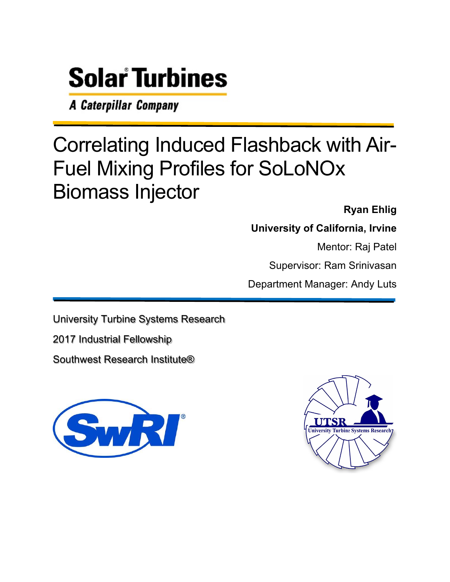# **Solar Turbines**

A Caterpillar Company

# Correlating Induced Flashback with Air-Fuel Mixing Profiles for SoLoNOx Biomass Injector

**Ryan Ehlig** 

**University of California, Irvine** 

Mentor: Raj Patel

Supervisor: Ram Srinivasan

Department Manager: Andy Luts

University Turbine Systems Research

2017 Industrial Fellowship

Southwest Research Institute®



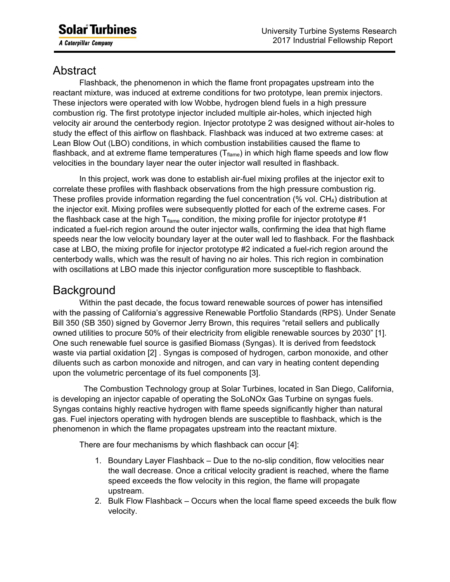# Abstract

Flashback, the phenomenon in which the flame front propagates upstream into the reactant mixture, was induced at extreme conditions for two prototype, lean premix injectors. These injectors were operated with low Wobbe, hydrogen blend fuels in a high pressure combustion rig. The first prototype injector included multiple air-holes, which injected high velocity air around the centerbody region. Injector prototype 2 was designed without air-holes to study the effect of this airflow on flashback. Flashback was induced at two extreme cases: at Lean Blow Out (LBO) conditions, in which combustion instabilities caused the flame to flashback, and at extreme flame temperatures ( $T_{\text{flame}}$ ) in which high flame speeds and low flow velocities in the boundary layer near the outer injector wall resulted in flashback.

In this project, work was done to establish air-fuel mixing profiles at the injector exit to correlate these profiles with flashback observations from the high pressure combustion rig. These profiles provide information regarding the fuel concentration  $\frac{9}{6}$  vol. CH<sub>4</sub>) distribution at the injector exit. Mixing profiles were subsequently plotted for each of the extreme cases. For the flashback case at the high  $T_{\text{flame}}$  condition, the mixing profile for injector prototype #1 indicated a fuel-rich region around the outer injector walls, confirming the idea that high flame speeds near the low velocity boundary layer at the outer wall led to flashback. For the flashback case at LBO, the mixing profile for injector prototype #2 indicated a fuel-rich region around the centerbody walls, which was the result of having no air holes. This rich region in combination with oscillations at LBO made this injector configuration more susceptible to flashback.

## **Background**

 Within the past decade, the focus toward renewable sources of power has intensified with the passing of California's aggressive Renewable Portfolio Standards (RPS). Under Senate Bill 350 (SB 350) signed by Governor Jerry Brown, this requires "retail sellers and publically owned utilities to procure 50% of their electricity from eligible renewable sources by 2030" [1]. One such renewable fuel source is gasified Biomass (Syngas). It is derived from feedstock waste via partial oxidation [2] . Syngas is composed of hydrogen, carbon monoxide, and other diluents such as carbon monoxide and nitrogen, and can vary in heating content depending upon the volumetric percentage of its fuel components [3].

 The Combustion Technology group at Solar Turbines, located in San Diego, California, is developing an injector capable of operating the SoLoNOx Gas Turbine on syngas fuels. Syngas contains highly reactive hydrogen with flame speeds significantly higher than natural gas. Fuel injectors operating with hydrogen blends are susceptible to flashback, which is the phenomenon in which the flame propagates upstream into the reactant mixture.

There are four mechanisms by which flashback can occur [4]:

- 1. Boundary Layer Flashback Due to the no-slip condition, flow velocities near the wall decrease. Once a critical velocity gradient is reached, where the flame speed exceeds the flow velocity in this region, the flame will propagate upstream.
- 2. Bulk Flow Flashback Occurs when the local flame speed exceeds the bulk flow velocity.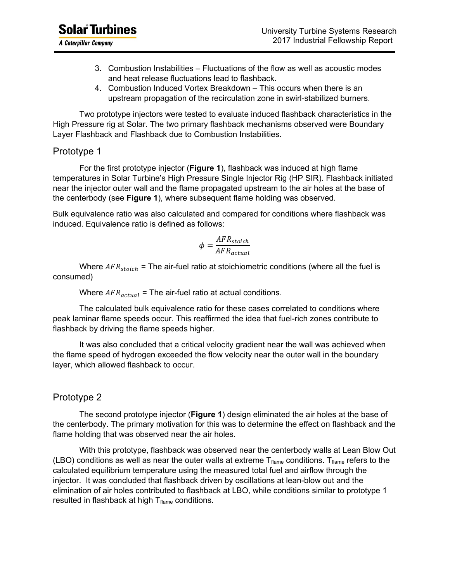- 3. Combustion Instabilities Fluctuations of the flow as well as acoustic modes and heat release fluctuations lead to flashback.
- 4. Combustion Induced Vortex Breakdown This occurs when there is an upstream propagation of the recirculation zone in swirl-stabilized burners.

 Two prototype injectors were tested to evaluate induced flashback characteristics in the High Pressure rig at Solar. The two primary flashback mechanisms observed were Boundary Layer Flashback and Flashback due to Combustion Instabilities.

#### Prototype 1

 For the first prototype injector (**Figure 1**), flashback was induced at high flame temperatures in Solar Turbine's High Pressure Single Injector Rig (HP SIR). Flashback initiated near the injector outer wall and the flame propagated upstream to the air holes at the base of the centerbody (see **Figure 1**), where subsequent flame holding was observed.

Bulk equivalence ratio was also calculated and compared for conditions where flashback was induced. Equivalence ratio is defined as follows:

$$
\phi = \frac{AFR_{stoich}}{AFR_{actual}}
$$

Where  $AFR_{stoich}$  = The air-fuel ratio at stoichiometric conditions (where all the fuel is consumed)

Where  $AFR_{actual}$  = The air-fuel ratio at actual conditions.

The calculated bulk equivalence ratio for these cases correlated to conditions where peak laminar flame speeds occur. This reaffirmed the idea that fuel-rich zones contribute to flashback by driving the flame speeds higher.

It was also concluded that a critical velocity gradient near the wall was achieved when the flame speed of hydrogen exceeded the flow velocity near the outer wall in the boundary layer, which allowed flashback to occur.

#### Prototype 2

 The second prototype injector (**Figure 1**) design eliminated the air holes at the base of the centerbody. The primary motivation for this was to determine the effect on flashback and the flame holding that was observed near the air holes.

 With this prototype, flashback was observed near the centerbody walls at Lean Blow Out (LBO) conditions as well as near the outer walls at extreme  $T_{\text{flame}}$  conditions.  $T_{\text{flame}}$  refers to the calculated equilibrium temperature using the measured total fuel and airflow through the injector. It was concluded that flashback driven by oscillations at lean-blow out and the elimination of air holes contributed to flashback at LBO, while conditions similar to prototype 1 resulted in flashback at high  $T_{\text{flame}}$  conditions.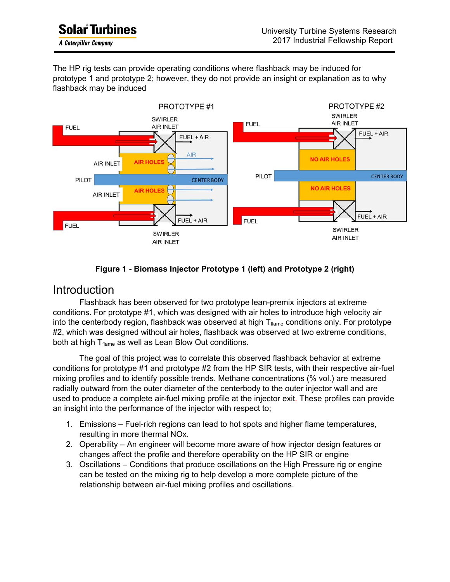ı

The HP rig tests can provide operating conditions where flashback may be induced for prototype 1 and prototype 2; however, they do not provide an insight or explanation as to why flashback may be induced





#### Introduction

Flashback has been observed for two prototype lean-premix injectors at extreme conditions. For prototype #1, which was designed with air holes to introduce high velocity air into the centerbody region, flashback was observed at high  $T_{\text{flame}}$  conditions only. For prototype #2, which was designed without air holes, flashback was observed at two extreme conditions, both at high  $T<sub>flame</sub>$  as well as Lean Blow Out conditions.

 The goal of this project was to correlate this observed flashback behavior at extreme conditions for prototype #1 and prototype #2 from the HP SIR tests, with their respective air-fuel mixing profiles and to identify possible trends. Methane concentrations (% vol.) are measured radially outward from the outer diameter of the centerbody to the outer injector wall and are used to produce a complete air-fuel mixing profile at the injector exit. These profiles can provide an insight into the performance of the injector with respect to;

- 1. Emissions Fuel-rich regions can lead to hot spots and higher flame temperatures, resulting in more thermal NOx.
- 2. Operability An engineer will become more aware of how injector design features or changes affect the profile and therefore operability on the HP SIR or engine
- 3. Oscillations Conditions that produce oscillations on the High Pressure rig or engine can be tested on the mixing rig to help develop a more complete picture of the relationship between air-fuel mixing profiles and oscillations.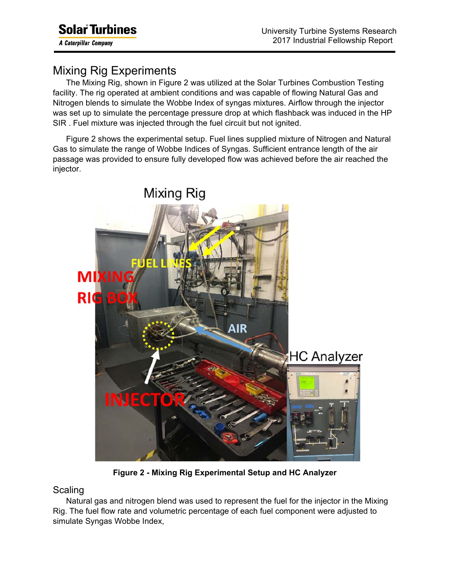ı

# Mixing Rig Experiments

The Mixing Rig, shown in Figure 2 was utilized at the Solar Turbines Combustion Testing facility. The rig operated at ambient conditions and was capable of flowing Natural Gas and Nitrogen blends to simulate the Wobbe Index of syngas mixtures. Airflow through the injector was set up to simulate the percentage pressure drop at which flashback was induced in the HP SIR . Fuel mixture was injected through the fuel circuit but not ignited.

Figure 2 shows the experimental setup. Fuel lines supplied mixture of Nitrogen and Natural Gas to simulate the range of Wobbe Indices of Syngas. Sufficient entrance length of the air passage was provided to ensure fully developed flow was achieved before the air reached the injector.



**Figure 2 - Mixing Rig Experimental Setup and HC Analyzer** 

#### **Scaling**

Natural gas and nitrogen blend was used to represent the fuel for the injector in the Mixing Rig. The fuel flow rate and volumetric percentage of each fuel component were adjusted to simulate Syngas Wobbe Index,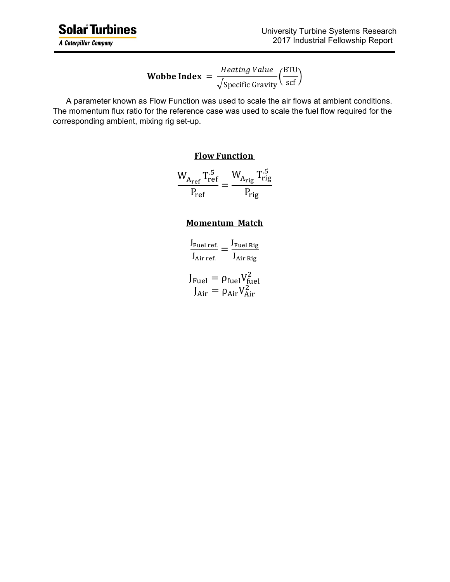**Wobbe Index** = 
$$
\frac{Heating Value}{\sqrt{Specific Gravity}} \left(\frac{BTU}{scf}\right)
$$

A parameter known as Flow Function was used to scale the air flows at ambient conditions. The momentum flux ratio for the reference case was used to scale the fuel flow required for the corresponding ambient, mixing rig set-up.

#### **Flow Function**

$$
\frac{W_{A_{ref}} T_{ref}^{.5}}{P_{ref}} = \frac{W_{A_{rig}} T_{rig}^{.5}}{P_{rig}}
$$

#### **Momentum Match**

| $J_{\text{Fuel ref.}}$ | J <sub>Fuel Rig</sub>                                                                        |
|------------------------|----------------------------------------------------------------------------------------------|
| $J_{\text{Air ref.}}$  | $J_{Air\,$                                                                                   |
|                        | $J_{\text{Fuel}} = \rho_{\text{fuel}} V_{\text{fuel}}^2$<br>$J_{Air} = \rho_{Air} V_{Air}^2$ |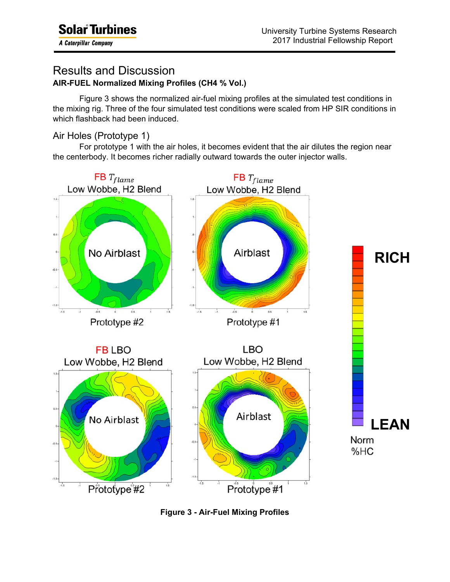A Caterpillar Company

ı

#### Results and Discussion **AIR-FUEL Normalized Mixing Profiles (CH4 % Vol.)**

 Figure 3 shows the normalized air-fuel mixing profiles at the simulated test conditions in the mixing rig. Three of the four simulated test conditions were scaled from HP SIR conditions in which flashback had been induced.

#### Air Holes (Prototype 1)

 For prototype 1 with the air holes, it becomes evident that the air dilutes the region near the centerbody. It becomes richer radially outward towards the outer injector walls.



**Figure 3 - Air-Fuel Mixing Profiles**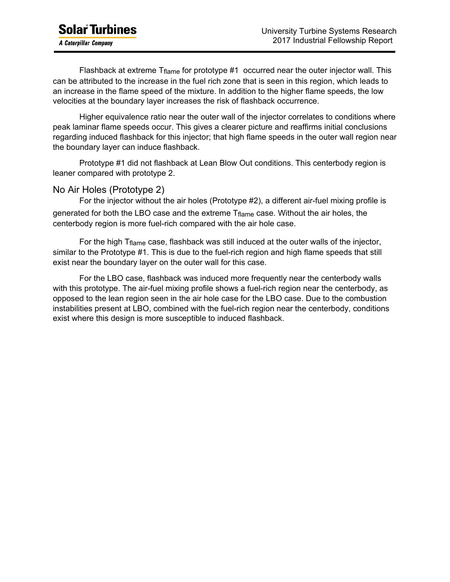Flashback at extreme  $T_{flame}$  for prototype #1 occurred near the outer injector wall. This can be attributed to the increase in the fuel rich zone that is seen in this region, which leads to an increase in the flame speed of the mixture. In addition to the higher flame speeds, the low velocities at the boundary layer increases the risk of flashback occurrence.

Higher equivalence ratio near the outer wall of the injector correlates to conditions where peak laminar flame speeds occur. This gives a clearer picture and reaffirms initial conclusions regarding induced flashback for this injector; that high flame speeds in the outer wall region near the boundary layer can induce flashback.

Prototype #1 did not flashback at Lean Blow Out conditions. This centerbody region is leaner compared with prototype 2.

#### No Air Holes (Prototype 2)

For the injector without the air holes (Prototype #2), a different air-fuel mixing profile is generated for both the LBO case and the extreme Tflame case. Without the air holes, the centerbody region is more fuel-rich compared with the air hole case.

For the high Tflame case, flashback was still induced at the outer walls of the injector, similar to the Prototype #1. This is due to the fuel-rich region and high flame speeds that still exist near the boundary layer on the outer wall for this case.

 For the LBO case, flashback was induced more frequently near the centerbody walls with this prototype. The air-fuel mixing profile shows a fuel-rich region near the centerbody, as opposed to the lean region seen in the air hole case for the LBO case. Due to the combustion instabilities present at LBO, combined with the fuel-rich region near the centerbody, conditions exist where this design is more susceptible to induced flashback.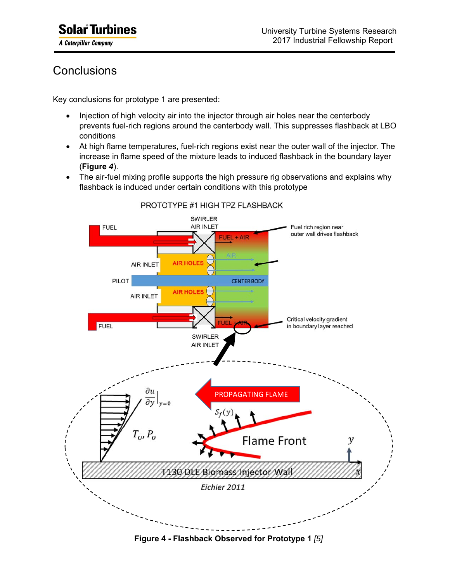**A Caterpillar Company** 

ı

# **Conclusions**

Key conclusions for prototype 1 are presented:

- Injection of high velocity air into the injector through air holes near the centerbody prevents fuel-rich regions around the centerbody wall. This suppresses flashback at LBO conditions
- At high flame temperatures, fuel-rich regions exist near the outer wall of the injector. The increase in flame speed of the mixture leads to induced flashback in the boundary layer (**Figure** *4*).
- The air-fuel mixing profile supports the high pressure rig observations and explains why flashback is induced under certain conditions with this prototype



PROTOTYPE #1 HIGH TPZ FLASHBACK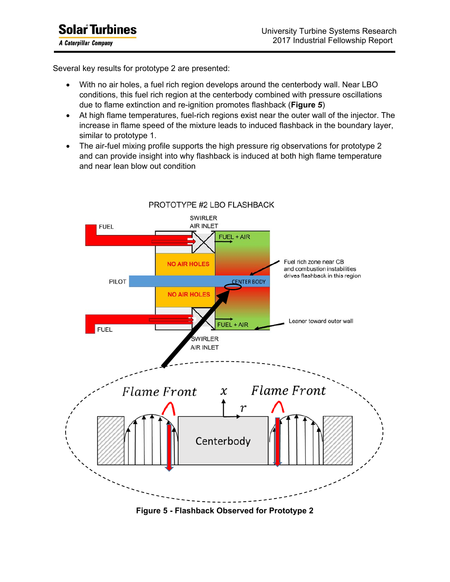ı

Several key results for prototype 2 are presented:

- With no air holes, a fuel rich region develops around the centerbody wall. Near LBO conditions, this fuel rich region at the centerbody combined with pressure oscillations due to flame extinction and re-ignition promotes flashback (**Figure** *5*)
- At high flame temperatures, fuel-rich regions exist near the outer wall of the injector. The increase in flame speed of the mixture leads to induced flashback in the boundary layer, similar to prototype 1.
- The air-fuel mixing profile supports the high pressure rig observations for prototype 2 and can provide insight into why flashback is induced at both high flame temperature and near lean blow out condition



**Figure 5 - Flashback Observed for Prototype 2**